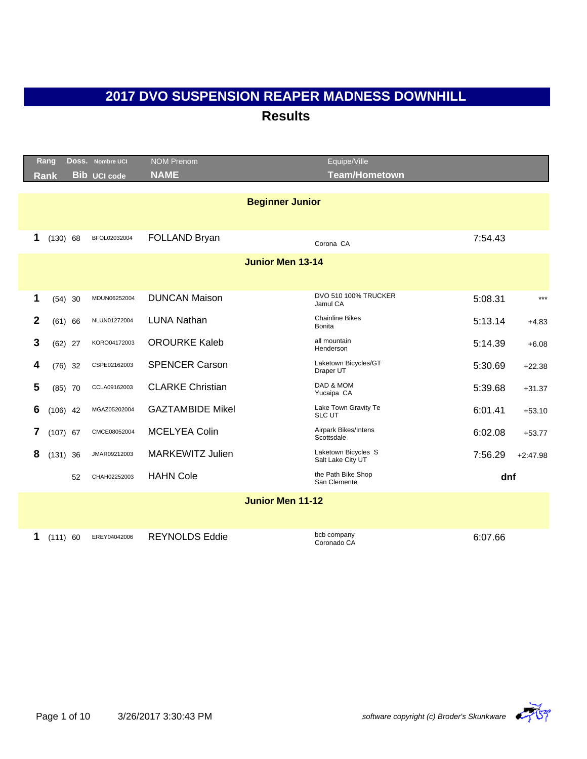|   | Rang        |           | DOSS. Nombre UCI    | <b>NOM Prenom</b>       |                         | Equipe/Ville                            |         |            |
|---|-------------|-----------|---------------------|-------------------------|-------------------------|-----------------------------------------|---------|------------|
|   | <b>Rank</b> |           | <b>Bib UCI code</b> | <b>NAME</b>             |                         | <b>Team/Hometown</b>                    |         |            |
|   |             |           |                     |                         |                         |                                         |         |            |
|   |             |           |                     |                         | <b>Beginner Junior</b>  |                                         |         |            |
|   |             |           |                     |                         |                         |                                         |         |            |
| 1 | (130) 68    |           | BFOL02032004        | FOLLAND Bryan           |                         | Corona CA                               | 7:54.43 |            |
|   |             |           |                     |                         | <b>Junior Men 13-14</b> |                                         |         |            |
|   |             |           |                     |                         |                         |                                         |         |            |
|   |             |           |                     |                         |                         |                                         |         |            |
| 1 | $(54)$ 30   |           | MDUN06252004        | <b>DUNCAN Maison</b>    |                         | <b>DVO 510 100% TRUCKER</b><br>Jamul CA | 5:08.31 | $***$      |
| 2 | (61) 66     |           | NLUN01272004        | <b>LUNA Nathan</b>      |                         | <b>Chainline Bikes</b>                  | 5:13.14 | $+4.83$    |
|   |             |           |                     |                         |                         | <b>Bonita</b>                           |         |            |
| 3 | $(62)$ 27   |           | KORO04172003        | <b>OROURKE Kaleb</b>    |                         | all mountain<br>Henderson               | 5:14.39 | $+6.08$    |
| 4 |             | $(76)$ 32 | CSPE02162003        | <b>SPENCER Carson</b>   |                         | Laketown Bicycles/GT<br>Draper UT       | 5:30.69 | $+22.38$   |
| 5 |             | $(85)$ 70 | CCLA09162003        | <b>CLARKE Christian</b> |                         | DAD & MOM                               | 5:39.68 | $+31.37$   |
|   |             |           |                     |                         |                         | Yucaipa CA                              |         |            |
| 6 | $(106)$ 42  |           | MGAZ05202004        | <b>GAZTAMBIDE Mikel</b> |                         | Lake Town Gravity Te<br>SLC UT          | 6:01.41 | $+53.10$   |
| 7 | $(107)$ 67  |           | CMCE08052004        | <b>MCELYEA Colin</b>    |                         | Airpark Bikes/Intens<br>Scottsdale      | 6:02.08 | $+53.77$   |
| 8 | $(131)$ 36  |           | JMAR09212003        | <b>MARKEWITZ Julien</b> |                         | Laketown Bicycles S                     | 7:56.29 | $+2:47.98$ |
|   |             |           |                     |                         |                         | Salt Lake City UT                       |         |            |
|   |             | 52        | CHAH02252003        | <b>HAHN Cole</b>        |                         | the Path Bike Shop<br>San Clemente      |         | dnf        |
|   |             |           |                     |                         | <b>Junior Men 11-12</b> |                                         |         |            |
|   |             |           |                     |                         |                         |                                         |         |            |
|   |             |           |                     |                         |                         |                                         |         |            |
| 1 | (111) 60    |           | EREY04042006        | <b>REYNOLDS Eddie</b>   |                         | bcb company<br>Coronado CA              | 6:07.66 |            |



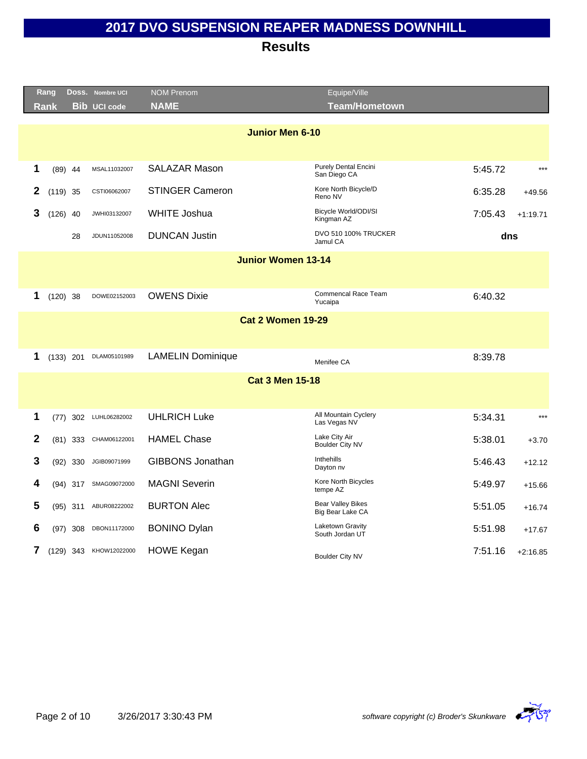|              | Rang        |             | Doss. Nombre UCI       | <b>NOM Prenom</b>         | Equipe/Ville                                 |         |            |
|--------------|-------------|-------------|------------------------|---------------------------|----------------------------------------------|---------|------------|
|              | <b>Rank</b> |             | <b>Bib UCI code</b>    | <b>NAME</b>               | <b>Team/Hometown</b>                         |         |            |
|              |             |             |                        |                           |                                              |         |            |
|              |             |             |                        | <b>Junior Men 6-10</b>    |                                              |         |            |
|              |             |             |                        |                           |                                              |         |            |
| 1            |             | $(89)$ 44   | MSAL11032007           | <b>SALAZAR Mason</b>      | <b>Purely Dental Encini</b><br>San Diego CA  | 5:45.72 | $***$      |
| 2            |             | $(119)$ 35  | CSTI06062007           | <b>STINGER Cameron</b>    | Kore North Bicycle/D<br>Reno NV              | 6:35.28 | $+49.56$   |
| 3            | $(126)$ 40  |             | JWHI03132007           | <b>WHITE Joshua</b>       | Bicycle World/ODI/SI<br>Kingman AZ           | 7:05.43 | $+1:19.71$ |
|              |             | 28          | JDUN11052008           | <b>DUNCAN Justin</b>      | <b>DVO 510 100% TRUCKER</b><br>Jamul CA      | dns     |            |
|              |             |             |                        | <b>Junior Women 13-14</b> |                                              |         |            |
|              |             |             |                        |                           |                                              |         |            |
| 1            |             | $(120)$ 38  | DOWE02152003           | <b>OWENS Dixie</b>        | Commencal Race Team<br>Yucaipa               | 6:40.32 |            |
|              |             |             |                        | <b>Cat 2 Women 19-29</b>  |                                              |         |            |
|              |             |             |                        |                           |                                              |         |            |
| 1            |             | $(133)$ 201 | DLAM05101989           | <b>LAMELIN Dominique</b>  | Menifee CA                                   | 8:39.78 |            |
|              |             |             |                        | <b>Cat 3 Men 15-18</b>    |                                              |         |            |
|              |             |             |                        |                           |                                              |         |            |
| 1            |             | $(77)$ 302  | LUHL06282002           | <b>UHLRICH Luke</b>       | All Mountain Cyclery<br>Las Vegas NV         | 5:34.31 | $***$      |
| $\mathbf{2}$ |             | $(81)$ 333  | CHAM06122001           | <b>HAMEL Chase</b>        | Lake City Air<br>Boulder City NV             | 5:38.01 | $+3.70$    |
| 3            |             | $(92)$ 330  | JGIB09071999           | <b>GIBBONS Jonathan</b>   | Inthehills<br>Dayton nv                      | 5:46.43 | $+12.12$   |
| 4            |             | $(94)$ 317  | SMAG09072000           | <b>MAGNI Severin</b>      | Kore North Bicycles<br>tempe AZ              | 5:49.97 | $+15.66$   |
| 5            |             | $(95)$ 311  | ABUR08222002           | <b>BURTON Alec</b>        | <b>Bear Valley Bikes</b><br>Big Bear Lake CA | 5:51.05 | $+16.74$   |
| 6            |             | $(97)$ 308  | DBON11172000           | <b>BONINO Dylan</b>       | Laketown Gravity<br>South Jordan UT          | 5:51.98 | $+17.67$   |
| 7            |             |             | (129) 343 KHOW12022000 | <b>HOWE Kegan</b>         | Boulder City NV                              | 7:51.16 | $+2:16.85$ |

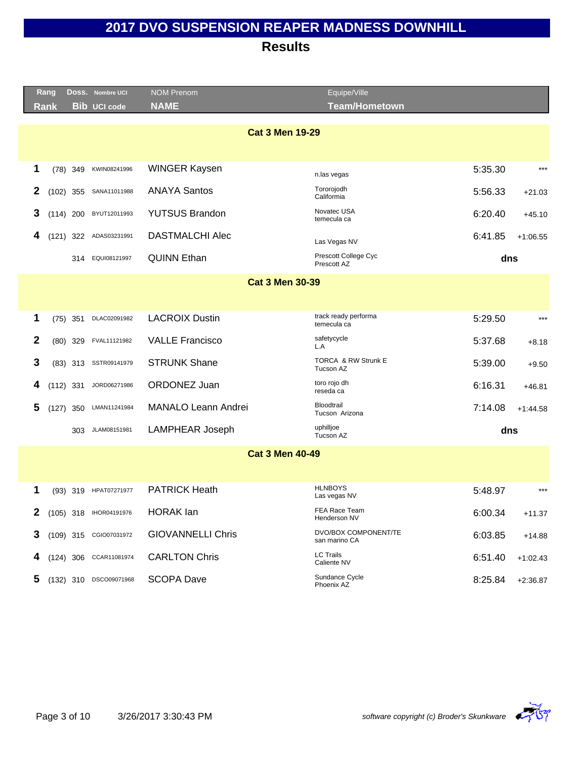|              | Rang<br>Rank |            | DOSS. Nombre UCI<br><b>Bib UCI code</b> | <b>NOM Prenom</b><br><b>NAME</b> | Equipe/Ville<br><b>Team/Hometown</b>  |         |            |
|--------------|--------------|------------|-----------------------------------------|----------------------------------|---------------------------------------|---------|------------|
|              |              |            |                                         | <b>Cat 3 Men 19-29</b>           |                                       |         |            |
|              |              |            |                                         |                                  |                                       |         |            |
| 1            |              | $(78)$ 349 | KWIN08241996                            | <b>WINGER Kaysen</b>             | n.las vegas                           | 5:35.30 | $***$      |
| 2            |              |            | (102) 355 SANA11011988                  | <b>ANAYA Santos</b>              | Tororojodh<br>Califormia              | 5:56.33 | $+21.03$   |
| 3            | $(114)$ 200  |            | BYUT12011993                            | <b>YUTSUS Brandon</b>            | Novatec USA<br>temecula ca            | 6:20.40 | $+45.10$   |
| 4            |              |            | (121) 322 ADAS03231991                  | <b>DASTMALCHI Alec</b>           | Las Vegas NV                          | 6:41.85 | $+1:06.55$ |
|              |              |            | 314 EQUI08121997                        | <b>QUINN Ethan</b>               | Prescott College Cyc<br>Prescott AZ   | dns     |            |
|              |              |            |                                         | <b>Cat 3 Men 30-39</b>           |                                       |         |            |
|              |              |            |                                         |                                  |                                       |         |            |
| 1            |              | $(75)$ 351 | DLAC02091982                            | <b>LACROIX Dustin</b>            | track ready performa<br>temecula ca   | 5:29.50 | $***$      |
| $\mathbf{2}$ |              | $(80)$ 329 | FVAL11121982                            | <b>VALLE Francisco</b>           | safetycycle<br>L.A                    | 5:37.68 | $+8.18$    |
| 3            |              | $(83)$ 313 | SSTR09141979                            | <b>STRUNK Shane</b>              | TORCA & RW Strunk E<br>Tucson AZ      | 5:39.00 | $+9.50$    |
| 4            | $(112)$ 331  |            | JORD06271986                            | ORDONEZ Juan                     | toro rojo dh<br>reseda ca             | 6:16.31 | $+46.81$   |
| 5            | $(127)$ 350  |            | LMAN11241984                            | <b>MANALO Leann Andrei</b>       | Bloodtrail<br>Tucson Arizona          | 7:14.08 | $+1:44.58$ |
|              |              |            | 303 JLAM08151981                        | <b>LAMPHEAR Joseph</b>           | uphilljoe<br>Tucson AZ                | dns     |            |
|              |              |            |                                         | <b>Cat 3 Men 40-49</b>           |                                       |         |            |
|              |              |            |                                         |                                  |                                       |         |            |
| 1            |              | $(93)$ 319 | HPAT07271977                            | <b>PATRICK Heath</b>             | <b>HLNBOYS</b><br>Las vegas NV        | 5:48.97 | $***$      |
| 2            |              |            | (105) 318 IHOR04191976                  | <b>HORAK</b> lan                 | FEA Race Team<br>Henderson NV         | 6:00.34 | $+11.37$   |
| 3            |              |            | (109) 315 CGIO07031972                  | <b>GIOVANNELLI Chris</b>         | DVO/BOX COMPONENT/TE<br>san marino CA | 6:03.85 | $+14.88$   |
| 4            |              |            | (124) 306 CCAR11081974                  | <b>CARLTON Chris</b>             | <b>LC Trails</b><br>Caliente NV       | 6:51.40 | $+1:02.43$ |
| 5            | $(132)$ 310  |            | DSCO09071968                            | <b>SCOPA Dave</b>                | Sundance Cycle<br>Phoenix AZ          | 8:25.84 | $+2:36.87$ |
|              |              |            |                                         |                                  |                                       |         |            |

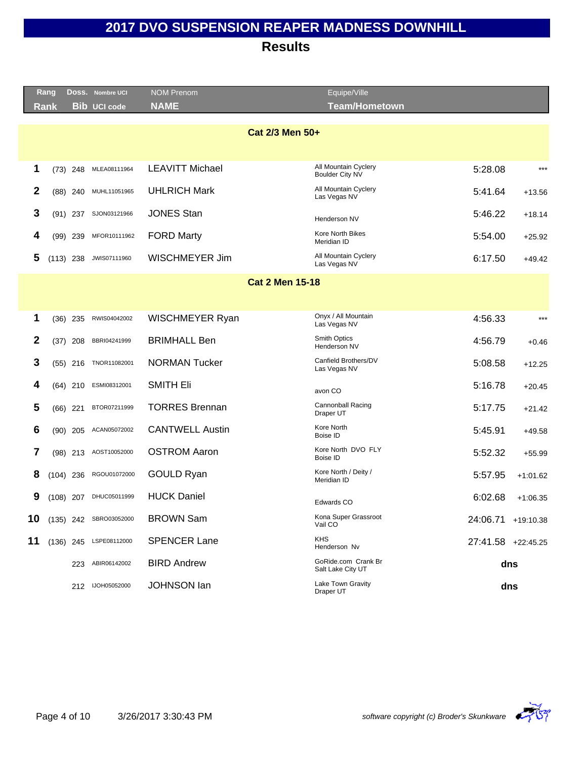|    | Rang |             | Doss. Nombre UCI          | <b>NOM Prenom</b>      | Equipe/Ville                             |                    |            |
|----|------|-------------|---------------------------|------------------------|------------------------------------------|--------------------|------------|
|    | Rank |             | <b>Bib UCI code</b>       | <b>NAME</b>            | <b>Team/Hometown</b>                     |                    |            |
|    |      |             |                           | Cat 2/3 Men 50+        |                                          |                    |            |
|    |      |             |                           |                        |                                          |                    |            |
| 1  |      | $(73)$ 248  | MLEA08111964              | <b>LEAVITT Michael</b> | All Mountain Cyclery<br>Boulder City NV  | 5:28.08            | $***$      |
| 2  |      | $(88)$ 240  | MUHL11051965              | <b>UHLRICH Mark</b>    | All Mountain Cyclery<br>Las Vegas NV     | 5:41.64            | $+13.56$   |
| 3  |      | $(91)$ 237  | SJON03121966              | <b>JONES Stan</b>      | Henderson NV                             | 5:46.22            | $+18.14$   |
| 4  |      | $(99)$ 239  | MFOR10111962              | <b>FORD Marty</b>      | Kore North Bikes<br>Meridian ID          | 5:54.00            | $+25.92$   |
| 5  |      | $(113)$ 238 | JWIS07111960              | WISCHMEYER Jim         | All Mountain Cyclery<br>Las Vegas NV     | 6:17.50            | $+49.42$   |
|    |      |             |                           | <b>Cat 2 Men 15-18</b> |                                          |                    |            |
|    |      |             |                           |                        |                                          |                    |            |
| 1  |      | $(36)$ 235  | RWIS04042002              | WISCHMEYER Ryan        | Onyx / All Mountain<br>Las Vegas NV      | 4:56.33            | $***$      |
| 2  |      | $(37)$ 208  | BBRI04241999              | <b>BRIMHALL Ben</b>    | Smith Optics<br>Henderson NV             | 4:56.79            | $+0.46$    |
| 3  |      | $(55)$ 216  | TNOR11082001              | <b>NORMAN Tucker</b>   | Canfield Brothers/DV<br>Las Vegas NV     | 5:08.58            | $+12.25$   |
| 4  |      | $(64)$ 210  | ESMI08312001              | <b>SMITH Eli</b>       | avon CO                                  | 5:16.78            | $+20.45$   |
| 5  |      | $(66)$ 221  | BTOR07211999              | <b>TORRES Brennan</b>  | <b>Cannonball Racing</b><br>Draper UT    | 5:17.75            | $+21.42$   |
| 6  |      | $(90)$ 205  | ACAN05072002              | <b>CANTWELL Austin</b> | Kore North<br>Boise ID                   | 5:45.91            | $+49.58$   |
| 7  |      | $(98)$ 213  | AOST10052000              | <b>OSTROM Aaron</b>    | Kore North DVO FLY<br>Boise ID           | 5:52.32            | $+55.99$   |
| 8  |      | $(104)$ 236 | RGOU01072000              | <b>GOULD Ryan</b>      | Kore North / Deity /<br>Meridian ID      | 5:57.95            | $+1:01.62$ |
| 9  |      | $(108)$ 207 | DHUC05011999              | <b>HUCK Daniel</b>     | Edwards CO                               | 6:02.68            | $+1:06.35$ |
|    |      |             | 10 (135) 242 SBRO03052000 | <b>BROWN Sam</b>       | Kona Super Grassroot<br>Vail CO          | 24:06.71 +19:10.38 |            |
| 11 |      |             | (136) 245 LSPE08112000    | <b>SPENCER Lane</b>    | <b>KHS</b><br>Henderson Nv               | 27:41.58 +22:45.25 |            |
|    |      |             | 223 ABIR06142002          | <b>BIRD Andrew</b>     | GoRide.com Crank Br<br>Salt Lake City UT |                    | dns        |
|    |      |             | 212 IJOH05052000          | <b>JOHNSON lan</b>     | Lake Town Gravity<br>Draper UT           |                    | dns        |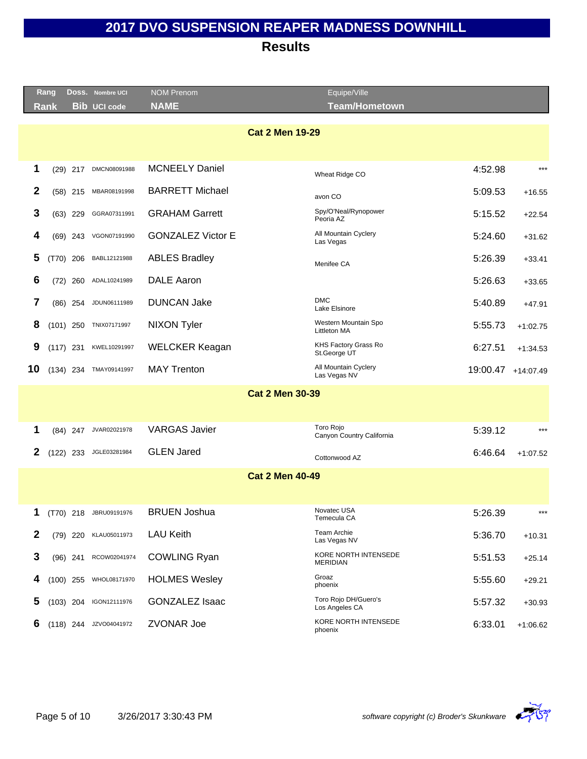|              | Rang        |             | DOSS. Nombre UCI       | <b>NOM Prenom</b>        | Equipe/Ville                            |         |                    |
|--------------|-------------|-------------|------------------------|--------------------------|-----------------------------------------|---------|--------------------|
|              | Rank        |             | <b>Bib UCI code</b>    | <b>NAME</b>              | <b>Team/Hometown</b>                    |         |                    |
|              |             |             |                        |                          |                                         |         |                    |
|              |             |             |                        | <b>Cat 2 Men 19-29</b>   |                                         |         |                    |
|              |             |             |                        |                          |                                         |         |                    |
| 1            |             | $(29)$ 217  | DMCN08091988           | <b>MCNEELY Daniel</b>    | Wheat Ridge CO                          | 4:52.98 | $***$              |
| $\mathbf{2}$ |             | $(58)$ 215  | MBAR08191998           | <b>BARRETT Michael</b>   | avon CO                                 | 5:09.53 | $+16.55$           |
| 3            |             | $(63)$ 229  | GGRA07311991           | <b>GRAHAM Garrett</b>    | Spy/O'Neal/Rynopower<br>Peoria AZ       | 5:15.52 | $+22.54$           |
| 4            |             | (69) 243    | VGON07191990           | <b>GONZALEZ Victor E</b> | All Mountain Cyclery<br>Las Vegas       | 5:24.60 | $+31.62$           |
| 5            |             | $(T70)$ 206 | BABL12121988           | <b>ABLES Bradley</b>     | Menifee CA                              | 5:26.39 | $+33.41$           |
| 6            |             | $(72)$ 260  | ADAL10241989           | <b>DALE Aaron</b>        |                                         | 5:26.63 | $+33.65$           |
| 7            |             | $(86)$ 254  | JDUN06111989           | <b>DUNCAN Jake</b>       | <b>DMC</b><br>Lake Elsinore             | 5:40.89 | $+47.91$           |
| 8            |             | $(101)$ 250 | TNIX07171997           | <b>NIXON Tyler</b>       | Western Mountain Spo<br>Littleton MA    | 5:55.73 | $+1:02.75$         |
| 9            | $(117)$ 231 |             | KWEL10291997           | <b>WELCKER Keagan</b>    | KHS Factory Grass Ro<br>St.George UT    | 6:27.51 | $+1.34.53$         |
| 10           |             |             | (134) 234 TMAY09141997 | <b>MAY Trenton</b>       | All Mountain Cyclery<br>Las Vegas NV    |         | 19:00.47 +14:07.49 |
|              |             |             |                        | <b>Cat 2 Men 30-39</b>   |                                         |         |                    |
|              |             |             |                        |                          |                                         |         |                    |
| 1            |             | $(84)$ 247  | JVAR02021978           | <b>VARGAS Javier</b>     | Toro Rojo<br>Canyon Country California  | 5:39.12 | $***$              |
| 2            |             | $(122)$ 233 | JGLE03281984           | <b>GLEN Jared</b>        | Cottonwood AZ                           | 6:46.64 | $+1:07.52$         |
|              |             |             |                        | <b>Cat 2 Men 40-49</b>   |                                         |         |                    |
|              |             |             |                        |                          |                                         |         |                    |
| 1            |             |             | (T70) 218 JBRU09191976 | <b>BRUEN Joshua</b>      | Novatec USA<br>Temecula CA              | 5:26.39 | $***$              |
| 2            |             | $(79)$ 220  | KLAU05011973           | <b>LAU Keith</b>         | Team Archie<br>Las Vegas NV             | 5:36.70 | $+10.31$           |
| 3            |             | $(96)$ 241  | RCOW02041974           | <b>COWLING Ryan</b>      | KORE NORTH INTENSEDE<br><b>MERIDIAN</b> | 5:51.53 | $+25.14$           |
| 4            |             | $(100)$ 255 | WHOL08171970           | <b>HOLMES Wesley</b>     | Groaz<br>phoenix                        | 5:55.60 | $+29.21$           |
| 5            |             | $(103)$ 204 | IGON12111976           | <b>GONZALEZ Isaac</b>    | Toro Rojo DH/Guero's<br>Los Angeles CA  | 5:57.32 | $+30.93$           |
| 6            |             | $(118)$ 244 | JZVO04041972           | ZVONAR Joe               | KORE NORTH INTENSEDE<br>phoenix         | 6:33.01 | $+1:06.62$         |
|              |             |             |                        |                          |                                         |         |                    |

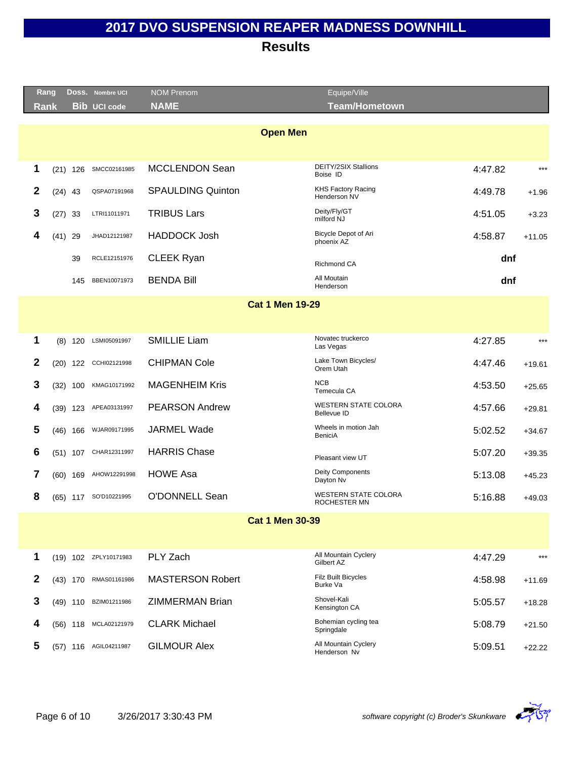|              | <u>Rang</u> |            | DOSS. Nombre UCI      | <b>NOM Prenom</b>        | Equipe/Ville                                |         |          |
|--------------|-------------|------------|-----------------------|--------------------------|---------------------------------------------|---------|----------|
|              | Rank        |            | <b>Bib UCI code</b>   | <b>NAME</b>              | <b>Team/Hometown</b>                        |         |          |
|              |             |            |                       | <b>Open Men</b>          |                                             |         |          |
|              |             |            |                       |                          |                                             |         |          |
| 1            |             | $(21)$ 126 | SMCC02161985          | <b>MCCLENDON Sean</b>    | DEITY/2SIX Stallions<br>Boise ID            | 4:47.82 | $***$    |
| 2            |             | $(24)$ 43  | QSPA07191968          | <b>SPAULDING Quinton</b> | <b>KHS Factory Racing</b>                   | 4:49.78 | $+1.96$  |
| 3            | (27)        | 33         | LTRI11011971          | <b>TRIBUS Lars</b>       | Henderson NV<br>Deity/Fly/GT                | 4:51.05 |          |
|              |             |            |                       |                          | milford NJ                                  |         | $+3.23$  |
| 4            | (41)        | 29         | JHAD12121987          | <b>HADDOCK Josh</b>      | Bicycle Depot of Ari<br>phoenix AZ          | 4:58.87 | $+11.05$ |
|              |             | 39         | RCLE12151976          | <b>CLEEK Ryan</b>        | <b>Richmond CA</b>                          | dnf     |          |
|              |             | 145        | BBEN10071973          | <b>BENDA Bill</b>        | All Moutain<br>Henderson                    | dnf     |          |
|              |             |            |                       | <b>Cat 1 Men 19-29</b>   |                                             |         |          |
|              |             |            |                       |                          |                                             |         |          |
| 1            | (8)         | 120        | LSMI05091997          | <b>SMILLIE Liam</b>      | Novatec truckerco<br>Las Vegas              | 4:27.85 | $***$    |
| 2            | (20)        | 122        | CCHI02121998          | <b>CHIPMAN Cole</b>      | Lake Town Bicycles/<br>Orem Utah            | 4:47.46 | $+19.61$ |
| 3            | (32)        | 100        | KMAG10171992          | <b>MAGENHEIM Kris</b>    | <b>NCB</b><br>Temecula CA                   | 4:53.50 | $+25.65$ |
| 4            | (39)        | 123        | APEA03131997          | <b>PEARSON Andrew</b>    | WESTERN STATE COLORA<br><b>Bellevue ID</b>  | 4:57.66 | $+29.81$ |
| 5            |             | $(46)$ 166 | WJAR09171995          | <b>JARMEL Wade</b>       | Wheels in motion Jah<br>BeniciA             | 5:02.52 | $+34.67$ |
| 6            |             | $(51)$ 107 | CHAR12311997          | <b>HARRIS Chase</b>      | Pleasant view UT                            | 5:07.20 | $+39.35$ |
| 7            |             | $(60)$ 169 | AHOW12291998          | <b>HOWE Asa</b>          | Deity Components<br>Dayton Nv               | 5:13.08 | $+45.23$ |
| 8            |             | $(65)$ 117 | SO'D10221995          | <b>O'DONNELL Sean</b>    | <b>WESTERN STATE COLORA</b><br>ROCHESTER MN | 5:16.88 | $+49.03$ |
|              |             |            |                       | <b>Cat 1 Men 30-39</b>   |                                             |         |          |
|              |             |            |                       |                          |                                             |         |          |
| 1            |             |            | (19) 102 ZPLY10171983 | PLY Zach                 | All Mountain Cyclery<br>Gilbert AZ          | 4:47.29 | $***$    |
| $\mathbf{2}$ |             | $(43)$ 170 | RMAS01161986          | <b>MASTERSON Robert</b>  | <b>Filz Built Bicycles</b><br>Burke Va      | 4:58.98 | $+11.69$ |
| 3            |             | $(49)$ 110 | BZIM01211986          | <b>ZIMMERMAN Brian</b>   | Shovel-Kali<br>Kensington CA                | 5:05.57 | $+18.28$ |
| 4            |             | $(56)$ 118 | MCLA02121979          | <b>CLARK Michael</b>     | Bohemian cycling tea<br>Springdale          | 5:08.79 | $+21.50$ |
| 5            |             |            | (57) 116 AGIL04211987 | <b>GILMOUR Alex</b>      | All Mountain Cyclery<br>Henderson Nv        | 5:09.51 | $+22.22$ |

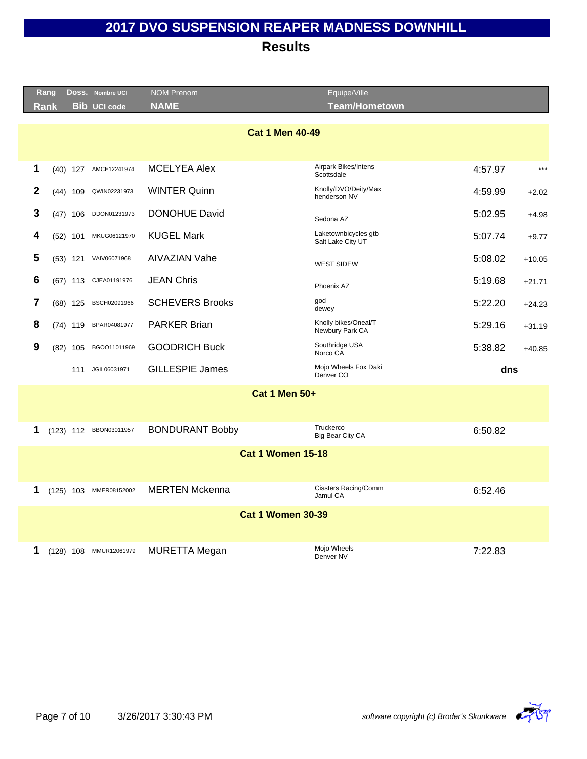| Rang |            | Doss. Nombre UCI       | <b>NOM Prenom</b>        | Equipe/Ville                              |         |          |
|------|------------|------------------------|--------------------------|-------------------------------------------|---------|----------|
| Rank |            | <b>Bib UCI code</b>    | <b>NAME</b>              | <b>Team/Hometown</b>                      |         |          |
|      |            |                        | <b>Cat 1 Men 40-49</b>   |                                           |         |          |
| 1    |            | (40) 127 AMCE12241974  | <b>MCELYEA Alex</b>      | Airpark Bikes/Intens<br>Scottsdale        | 4:57.97 | $***$    |
| 2    | $(44)$ 109 | QWIN02231973           | <b>WINTER Quinn</b>      | Knolly/DVO/Deity/Max<br>henderson NV      | 4:59.99 | $+2.02$  |
| 3    | $(47)$ 106 | DDON01231973           | <b>DONOHUE David</b>     | Sedona AZ                                 | 5:02.95 | $+4.98$  |
| 4    | $(52)$ 101 | MKUG06121970           | <b>KUGEL Mark</b>        | Laketownbicycles gtb<br>Salt Lake City UT | 5:07.74 | $+9.77$  |
| 5    | $(53)$ 121 | VAIV06071968           | AIVAZIAN Vahe            | <b>WEST SIDEW</b>                         | 5:08.02 | $+10.05$ |
| 6    |            | (67) 113 CJEA01191976  | <b>JEAN Chris</b>        | Phoenix AZ                                | 5:19.68 | $+21.71$ |
| 7    | (68) 125   | BSCH02091966           | <b>SCHEVERS Brooks</b>   | god<br>dewey                              | 5:22.20 | $+24.23$ |
| 8    | $(74)$ 119 | BPAR04081977           | <b>PARKER Brian</b>      | Knolly bikes/Oneal/T<br>Newbury Park CA   | 5:29.16 | $+31.19$ |
| 9    | (82) 105   | BGOO11011969           | <b>GOODRICH Buck</b>     | Southridge USA<br>Norco CA                | 5:38.82 | $+40.85$ |
|      | 111        | JGIL06031971           | <b>GILLESPIE James</b>   | Mojo Wheels Fox Daki<br>Denver CO         | dns     |          |
|      |            |                        | <b>Cat 1 Men 50+</b>     |                                           |         |          |
| 1    |            | (123) 112 BBON03011957 | <b>BONDURANT Bobby</b>   | Truckerco<br>Big Bear City CA             | 6:50.82 |          |
|      |            |                        | <b>Cat 1 Women 15-18</b> |                                           |         |          |
| 1    |            | (125) 103 MMER08152002 | <b>MERTEN Mckenna</b>    | <b>Cissters Racing/Comm</b><br>Jamul CA   | 6:52.46 |          |
|      |            |                        | <b>Cat 1 Women 30-39</b> |                                           |         |          |
| 1    |            | (128) 108 MMUR12061979 | <b>MURETTA Megan</b>     | Mojo Wheels<br>Denver NV                  | 7:22.83 |          |

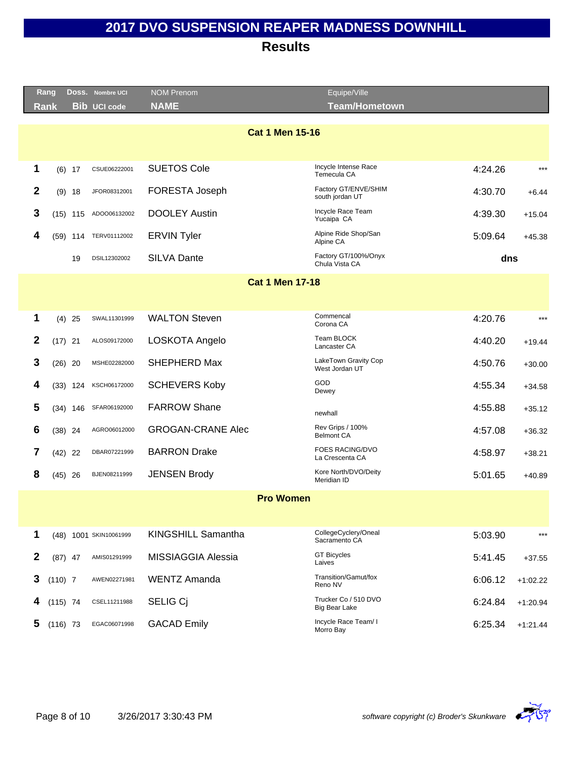**Results**

Equipe/Ville

|              | Rang       |     | DOSS. Nombre UCI       | <b>NOM Prenom</b>         | Equipe/Ville                                 |         |            |
|--------------|------------|-----|------------------------|---------------------------|----------------------------------------------|---------|------------|
| Rank         |            |     | <b>Bib UCI code</b>    | <b>NAME</b>               | <b>Team/Hometown</b>                         |         |            |
|              |            |     |                        | <b>Cat 1 Men 15-16</b>    |                                              |         |            |
|              |            |     |                        |                           |                                              |         |            |
| 1            | $(6)$ 17   |     | CSUE06222001           | <b>SUETOS Cole</b>        | Incycle Intense Race<br>Temecula CA          | 4:24.26 | $***$      |
| $\mathbf{2}$ | $(9)$ 18   |     | JFOR08312001           | FORESTA Joseph            | Factory GT/ENVE/SHIM<br>south jordan UT      | 4:30.70 | $+6.44$    |
| 3            | $(15)$ 115 |     | ADOO06132002           | <b>DOOLEY Austin</b>      | Incycle Race Team<br>Yucaipa CA              | 4:39.30 | $+15.04$   |
| 4            | (59)       | 114 | TERV01112002           | <b>ERVIN Tyler</b>        | Alpine Ride Shop/San<br>Alpine CA            | 5:09.64 | $+45.38$   |
|              |            | 19  | DSIL12302002           | <b>SILVA Dante</b>        | Factory GT/100%/Onyx<br>Chula Vista CA       | dns     |            |
|              |            |     |                        | <b>Cat 1 Men 17-18</b>    |                                              |         |            |
|              |            |     |                        |                           |                                              |         |            |
| 1            | $(4)$ 25   |     | SWAL11301999           | <b>WALTON Steven</b>      | Commencal<br>Corona CA                       | 4:20.76 | $***$      |
| $\mathbf{2}$ | $(17)$ 21  |     | ALOS09172000           | LOSKOTA Angelo            | Team BLOCK<br>Lancaster CA                   | 4:40.20 | $+19.44$   |
| 3            | $(26)$ 20  |     | MSHE02282000           | SHEPHERD Max              | LakeTown Gravity Cop<br>West Jordan UT       | 4:50.76 | $+30.00$   |
| 4            | (33)       | 124 | KSCH06172000           | <b>SCHEVERS Koby</b>      | <b>GOD</b><br>Dewey                          | 4:55.34 | $+34.58$   |
| 5            | $(34)$ 146 |     | SFAR06192000           | <b>FARROW Shane</b>       | newhall                                      | 4:55.88 | $+35.12$   |
| 6            | $(38)$ 24  |     | AGRO06012000           | <b>GROGAN-CRANE Alec</b>  | Rev Grips / 100%<br><b>Belmont CA</b>        | 4:57.08 | $+36.32$   |
| 7            | $(42)$ 22  |     | DBAR07221999           | <b>BARRON Drake</b>       | FOES RACING/DVO<br>La Crescenta CA           | 4:58.97 | $+38.21$   |
| 8            | $(45)$ 26  |     | BJEN08211999           | <b>JENSEN Brody</b>       | Kore North/DVO/Deity<br>Meridian ID          | 5:01.65 | $+40.89$   |
|              |            |     |                        | <b>Pro Women</b>          |                                              |         |            |
|              |            |     |                        |                           |                                              |         |            |
| 1            |            |     | (48) 1001 SKIN10061999 | KINGSHILL Samantha        | CollegeCyclery/Oneal<br>Sacramento CA        | 5:03.90 | $***$      |
| $\mathbf{2}$ | $(87)$ 47  |     | AMIS01291999           | <b>MISSIAGGIA Alessia</b> | <b>GT Bicycles</b><br>Laives                 | 5:41.45 | $+37.55$   |
| 3            | $(110)$ 7  |     | AWEN02271981           | <b>WENTZ Amanda</b>       | Transition/Gamut/fox<br>Reno NV              | 6:06.12 | $+1:02.22$ |
| 4            | $(115)$ 74 |     | CSEL11211988           | <b>SELIG Ci</b>           | Trucker Co / 510 DVO<br><b>Big Bear Lake</b> | 6:24.84 | $+1:20.94$ |
| 5            | $(116)$ 73 |     | EGAC06071998           | <b>GACAD Emily</b>        | Incycle Race Team/ I<br>Morro Bay            | 6:25.34 | $+1:21.44$ |
|              |            |     |                        |                           |                                              |         |            |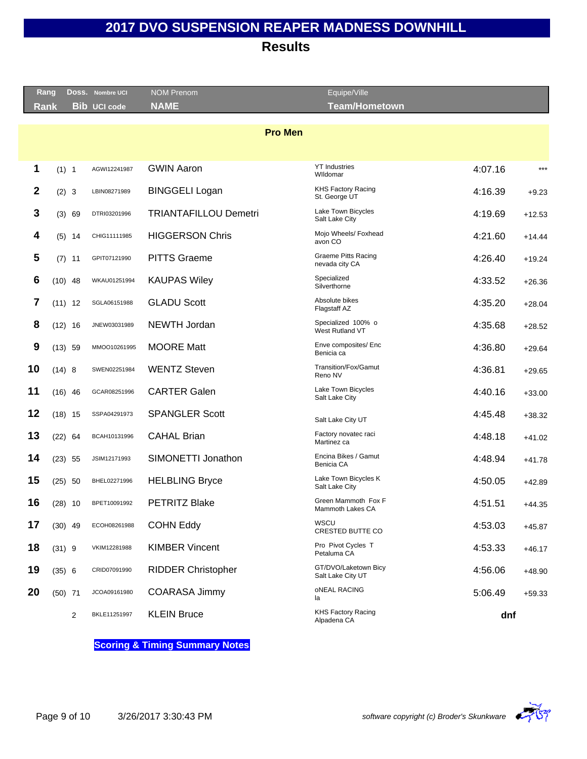**Results**

|                  | Rang      |   | Doss. Nombre UCI    | <b>NOM Prenom</b>            | Equipe/Ville                                 |         |          |
|------------------|-----------|---|---------------------|------------------------------|----------------------------------------------|---------|----------|
| <b>Rank</b>      |           |   | <b>Bib UCI code</b> | <b>NAME</b>                  | <b>Team/Hometown</b>                         |         |          |
|                  |           |   |                     | <b>Pro Men</b>               |                                              |         |          |
|                  |           |   |                     |                              |                                              |         |          |
|                  |           |   |                     |                              | <b>YT Industries</b>                         |         | $***$    |
| 1                | (1) 1     |   | AGWI12241987        | <b>GWIN Aaron</b>            | Wildomar                                     | 4:07.16 |          |
| $\boldsymbol{2}$ | (2) 3     |   | LBIN08271989        | <b>BINGGELI Logan</b>        | <b>KHS Factory Racing</b><br>St. George UT   | 4:16.39 | $+9.23$  |
| 3                | (3) 69    |   | DTRI03201996        | <b>TRIANTAFILLOU Demetri</b> | Lake Town Bicycles<br>Salt Lake City         | 4:19.69 | $+12.53$ |
| 4                | $(5)$ 14  |   | CHIG11111985        | <b>HIGGERSON Chris</b>       | Mojo Wheels/ Foxhead<br>avon CO              | 4:21.60 | $+14.44$ |
| 5                | $(7)$ 11  |   | GPIT07121990        | <b>PITTS Graeme</b>          | <b>Graeme Pitts Racing</b><br>nevada city CA | 4:26.40 | $+19.24$ |
| 6                | $(10)$ 48 |   | WKAU01251994        | <b>KAUPAS Wiley</b>          | Specialized<br>Silverthorne                  | 4:33.52 | $+26.36$ |
| 7                | $(11)$ 12 |   | SGLA06151988        | <b>GLADU Scott</b>           | Absolute bikes<br>Flagstaff AZ               | 4:35.20 | $+28.04$ |
| 8                | $(12)$ 16 |   | JNEW03031989        | <b>NEWTH Jordan</b>          | Specialized 100% o<br>West Rutland VT        | 4:35.68 | $+28.52$ |
| 9                | $(13)$ 59 |   | MMOO10261995        | <b>MOORE Matt</b>            | Enve composites/ Enc<br>Benicia ca           | 4:36.80 | $+29.64$ |
| 10               | (14) 8    |   | SWEN02251984        | <b>WENTZ Steven</b>          | Transition/Fox/Gamut<br>Reno NV              | 4:36.81 | $+29.65$ |
| 11               | $(16)$ 46 |   | GCAR08251996        | <b>CARTER Galen</b>          | Lake Town Bicycles<br>Salt Lake City         | 4:40.16 | $+33.00$ |
| 12               | $(18)$ 15 |   | SSPA04291973        | <b>SPANGLER Scott</b>        | Salt Lake City UT                            | 4:45.48 | $+38.32$ |
| 13               | $(22)$ 64 |   | BCAH10131996        | <b>CAHAL Brian</b>           | Factory novatec raci<br>Martinez ca          | 4:48.18 | $+41.02$ |
| 14               | $(23)$ 55 |   | JSIM12171993        | SIMONETTI Jonathon           | Encina Bikes / Gamut<br>Benicia CA           | 4:48.94 | $+41.78$ |
| 15               | $(25)$ 50 |   | BHEL02271996        | <b>HELBLING Bryce</b>        | Lake Town Bicycles K<br>Salt Lake City       | 4:50.05 | $+42.89$ |
| 16               | $(28)$ 10 |   | BPET10091992        | <b>PETRITZ Blake</b>         | Green Mammoth Fox F<br>Mammoth Lakes CA      | 4:51.51 | $+44.35$ |
| 17               | $(30)$ 49 |   | ECOH08261988        | <b>COHN Eddy</b>             | WSCU<br>CRESTED BUTTE CO                     | 4:53.03 | $+45.87$ |
| 18               | $(31)$ 9  |   | VKIM12281988        | <b>KIMBER Vincent</b>        | Pro Pivot Cycles T<br>Petaluma CA            | 4:53.33 | $+46.17$ |
| 19               | (35) 6    |   | CRID07091990        | <b>RIDDER Christopher</b>    | GT/DVO/Laketown Bicy<br>Salt Lake City UT    | 4:56.06 | $+48.90$ |
| 20               | $(50)$ 71 |   | JCOA09161980        | COARASA Jimmy                | oNEAL RACING<br>la                           | 5:06.49 | $+59.33$ |
|                  |           | 2 | BKLE11251997        | <b>KLEIN Bruce</b>           | KHS Factory Racing<br>Alpadena CA            | dnf     |          |

**Scoring & Timing Summary Notes**